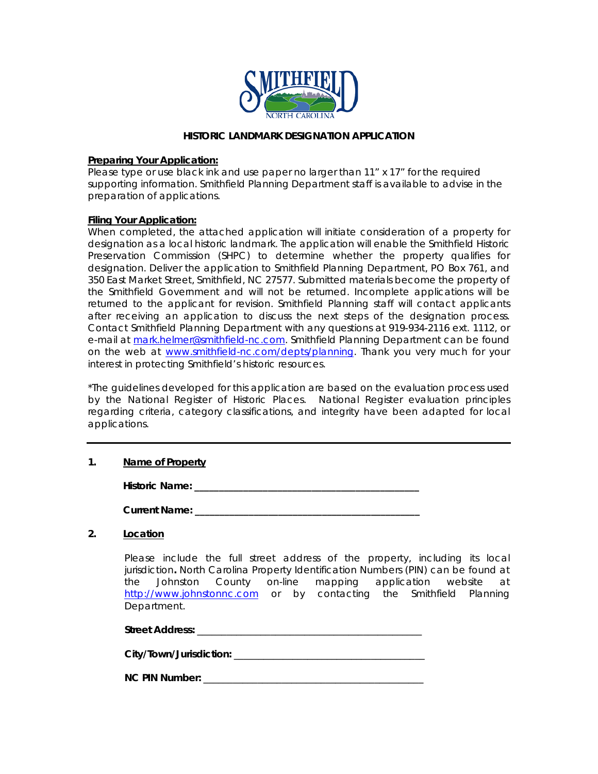

### **HISTORIC LANDMARK DESIGNATION APPLICATION**

### **Preparing Your Application:**

Please type or use black ink and use paper no larger than 11" x 17" for the required supporting information. Smithfield Planning Department staff is available to advise in the preparation of applications.

### **Filing Your Application:**

When completed, the attached application will initiate consideration of a property for designation as a local historic landmark. The application will enable the Smithfield Historic Preservation Commission (SHPC) to determine whether the property qualifies for designation. Deliver the application to Smithfield Planning Department, PO Box 761, and 350 East Market Street, Smithfield, NC 27577. Submitted materials become the property of the Smithfield Government and will not be returned. Incomplete applications will be returned to the applicant for revision. Smithfield Planning staff will contact applicants after receiving an application to discuss the next steps of the designation process. Contact Smithfield Planning Department with any questions at 919-934-2116 ext. 1112, or e-mail at [mark.helmer@smithfield-nc.com.](mailto:mark.helmer@smithfield-nc.com) Smithfield Planning Department can be found on the web at [www.smithfield-nc.com/depts/planning.](http://www.smithfield-nc.com/depts/planning) Thank you very much for your interest in protecting Smithfield's historic resources.

\*The guidelines developed for this application are based on the evaluation process used by the National Register of Historic Places. National Register evaluation principles regarding criteria, category classifications, and integrity have been adapted for local applications.

## **1. Name of Property**

**Historic Name: \_\_\_\_\_\_\_\_\_\_\_\_\_\_\_\_\_\_\_\_\_\_\_\_\_\_\_\_\_\_\_\_\_\_\_\_\_\_\_\_\_\_\_\_\_\_**

**Current Name: \_\_\_\_\_\_\_\_\_\_\_\_\_\_\_\_\_\_\_\_\_\_\_\_\_\_\_\_\_\_\_\_\_\_\_\_\_\_\_\_\_\_\_\_\_\_**

## **2. Location**

Please include the full street address of the property, including its local jurisdiction**.** North Carolina Property Identification Numbers (PIN) can be found at the Johnston County on-line mapping application website at [http://www.johnstonnc.com](http://www.johnstonnc.com/) or by contacting the Smithfield Planning Department.

Street Address: **With a street Address: with a street and a street and a street and a street and a street and a street and a street and a street and a street and a street and a street and a street and a street and a stre** 

**City/Town/Jurisdiction:** \_\_\_\_\_\_\_\_\_\_\_\_\_\_\_\_\_\_\_\_\_\_\_\_\_\_\_\_\_\_\_\_\_\_\_\_\_\_\_

**NC PIN Number:** \_\_\_\_\_\_\_\_\_\_\_\_\_\_\_\_\_\_\_\_\_\_\_\_\_\_\_\_\_\_\_\_\_\_\_\_\_\_\_\_\_\_\_\_\_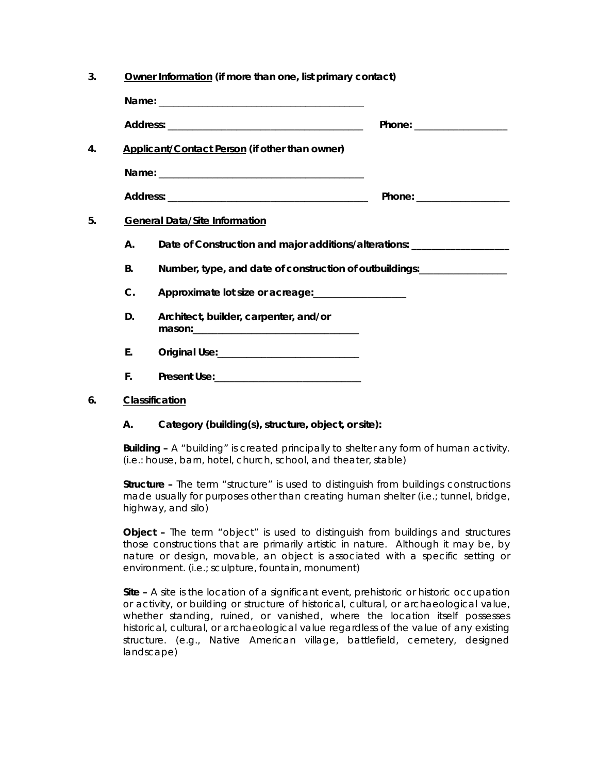| 3. | Owner Information (if more than one, list primary contact) |                                                                                                                                                         |                           |  |
|----|------------------------------------------------------------|---------------------------------------------------------------------------------------------------------------------------------------------------------|---------------------------|--|
|    |                                                            |                                                                                                                                                         |                           |  |
|    |                                                            |                                                                                                                                                         | Phone: __________________ |  |
| 4. |                                                            | Applicant/Contact Person (if other than owner)                                                                                                          |                           |  |
|    |                                                            |                                                                                                                                                         |                           |  |
|    |                                                            |                                                                                                                                                         |                           |  |
| 5. | <b>General Data/Site Information</b>                       |                                                                                                                                                         |                           |  |
|    | Α.                                                         | Date of Construction and major additions/alterations: ____________________                                                                              |                           |  |
|    | <b>B.</b>                                                  | Number, type, and date of construction of outbuildings:___________________                                                                              |                           |  |
|    | $\mathcal{C}$ .                                            | Approximate lot size or acreage:                                                                                                                        |                           |  |
|    | D.                                                         | Architect, builder, carpenter, and/or<br>mason: will be a series of the series of the series of the series of the series of the series of the series of |                           |  |
|    | Ε.                                                         |                                                                                                                                                         |                           |  |
|    | F.                                                         |                                                                                                                                                         |                           |  |

## **6. Classification**

## **A. Category (building(s), structure, object, or site):**

**Building –** A "building" is created principally to shelter any form of human activity. (i.e.: house, barn, hotel, church, school, and theater, stable)

**Structure –** The term "structure" is used to distinguish from buildings constructions made usually for purposes other than creating human shelter (i.e.; tunnel, bridge, highway, and silo)

**Object –** The term "object" is used to distinguish from buildings and structures those constructions that are primarily artistic in nature. Although it may be, by nature or design, movable, an object is associated with a specific setting or environment. (i.e.; sculpture, fountain, monument)

**Site –** A site is the location of a significant event, prehistoric or historic occupation or activity, or building or structure of historical, cultural, or archaeological value, whether standing, ruined, or vanished, where the location itself possesses historical, cultural, or archaeological value regardless of the value of any existing structure. (e.g., Native American village, battlefield, cemetery, designed landscape)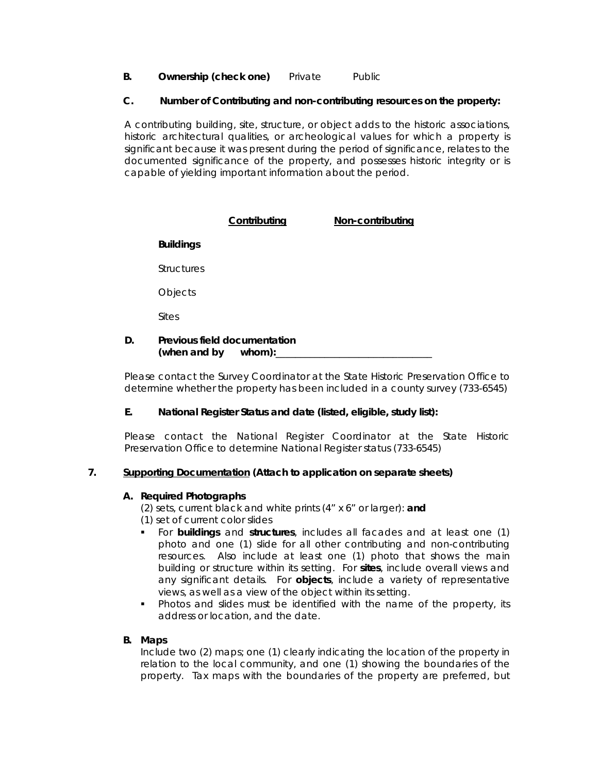**B. Ownership (check one)** Private Public

### **C. Number of Contributing and non-contributing resources on the property:**

A contributing building, site, structure, or object adds to the historic associations, historic architectural qualities, or archeological values for which a property is significant because it was present during the period of significance, relates to the documented significance of the property, and possesses historic integrity or is capable of yielding important information about the period.

## **Contributing Non-contributing Buildings Structures Objects**  Sites **D. Previous field documentation**

# (when and by whom):\_\_

Please contact the Survey Coordinator at the State Historic Preservation Office to determine whether the property has been included in a county survey (733-6545)

## **E. National Register Status and date (listed, eligible, study list):**

Please contact the National Register Coordinator at the State Historic Preservation Office to determine National Register status (733-6545)

## **7. Supporting Documentation (Attach to application on separate sheets)**

### **A. Required Photographs**

(2) sets, current black and white prints (4" x 6" or larger): **and** (1) set of current color slides

- 
- For **buildings** and **structures**, includes all facades and at least one (1) photo and one (1) slide for all other contributing and non-contributing resources. Also include at least one (1) photo that shows the main building or structure within its setting. For **sites**, include overall views and any significant details. For **objects**, include a variety of representative views, as well as a view of the object within its setting.
- Photos and slides must be identified with the name of the property, its address or location, and the date.

## **B. Maps**

Include two (2) maps; one (1) clearly indicating the location of the property in relation to the local community, and one (1) showing the boundaries of the property. Tax maps with the boundaries of the property are preferred, but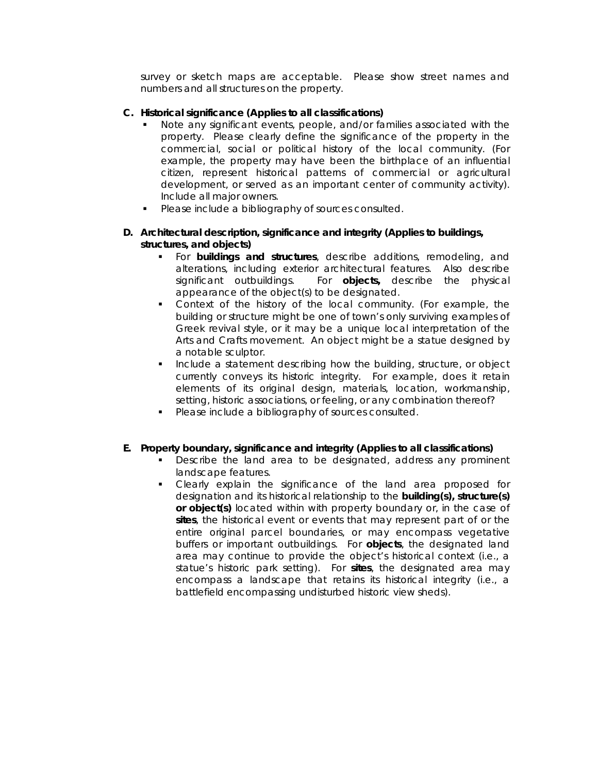survey or sketch maps are acceptable. Please show street names and numbers and all structures on the property.

### **C. Historical significance (Applies to all classifications)**

- Note any significant events, people, and/or families associated with the property. Please clearly define the significance of the property in the commercial, social or political history of the local community. (For example, the property may have been the birthplace of an influential citizen, represent historical patterns of commercial or agricultural development, or served as an important center of community activity). Include all major owners.
- Please include a bibliography of sources consulted.

### **D. Architectural description, significance and integrity (Applies to buildings, structures, and objects)**

- For **buildings and structures**, describe additions, remodeling, and alterations, including exterior architectural features. Also describe significant outbuildings. For **objects**, describe the physical For **objects**, describe the physical appearance of the object(s) to be designated.
- Context of the history of the local community. (For example, the building or structure might be one of town's only surviving examples of Greek revival style, or it may be a unique local interpretation of the Arts and Crafts movement. An object might be a statue designed by a notable sculptor.
- **Include a statement describing how the building, structure, or object** currently conveys its historic integrity. For example, does it retain elements of its original design, materials, location, workmanship, setting, historic associations, or feeling, or any combination thereof?
- **Please include a bibliography of sources consulted.**

### **E. Property boundary, significance and integrity (Applies to all classifications)**

- **Describe the land area to be designated, address any prominent** landscape features.
- Clearly explain the significance of the land area proposed for designation and its historical relationship to the **building(s), structure(s) or object(s)** located within with property boundary or, in the case of **sites**, the historical event or events that may represent part of or the entire original parcel boundaries, or may encompass vegetative buffers or important outbuildings. For **objects**, the designated land area may continue to provide the object's historical context (i.e., a statue's historic park setting). For **sites**, the designated area may encompass a landscape that retains its historical integrity (i.e., a battlefield encompassing undisturbed historic view sheds).